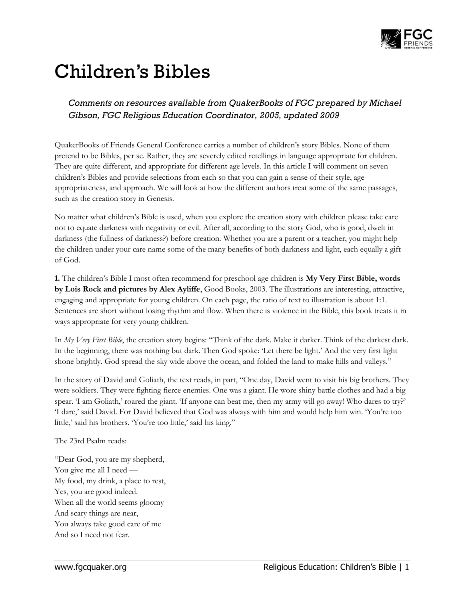

# Children's Bibles

# *Comments on resources available from QuakerBooks of FGC prepared by Michael Gibson, FGC Religious Education Coordinator, 2005, updated 2009*

QuakerBooks of Friends General Conference carries a number of children's story Bibles. None of them pretend to be Bibles, per se. Rather, they are severely edited retellings in language appropriate for children. They are quite different, and appropriate for different age levels. In this article I will comment on seven children's Bibles and provide selections from each so that you can gain a sense of their style, age appropriateness, and approach. We will look at how the different authors treat some of the same passages, such as the creation story in Genesis.

No matter what children's Bible is used, when you explore the creation story with children please take care not to equate darkness with negativity or evil. After all, according to the story God, who is good, dwelt in darkness (the fullness of darkness?) before creation. Whether you are a parent or a teacher, you might help the children under your care name some of the many benefits of both darkness and light, each equally a gift of God.

**1.** The children's Bible I most often recommend for preschool age children is **My Very First Bible, words by Lois Rock and pictures by Alex Ayliffe**, Good Books, 2003. The illustrations are interesting, attractive, engaging and appropriate for young children. On each page, the ratio of text to illustration is about 1:1. Sentences are short without losing rhythm and flow. When there is violence in the Bible, this book treats it in ways appropriate for very young children.

In *My Very First Bible*, the creation story begins: "Think of the dark. Make it darker. Think of the darkest dark. In the beginning, there was nothing but dark. Then God spoke: 'Let there be light.' And the very first light shone brightly. God spread the sky wide above the ocean, and folded the land to make hills and valleys."

In the story of David and Goliath, the text reads, in part, "One day, David went to visit his big brothers. They were soldiers. They were fighting fierce enemies. One was a giant. He wore shiny battle clothes and had a big spear. 'I am Goliath,' roared the giant. 'If anyone can beat me, then my army will go away! Who dares to try?' 'I dare,' said David. For David believed that God was always with him and would help him win. 'You're too little,' said his brothers. 'You're too little,' said his king."

The 23rd Psalm reads:

"Dear God, you are my shepherd, You give me all I need — My food, my drink, a place to rest, Yes, you are good indeed. When all the world seems gloomy And scary things are near, You always take good care of me And so I need not fear.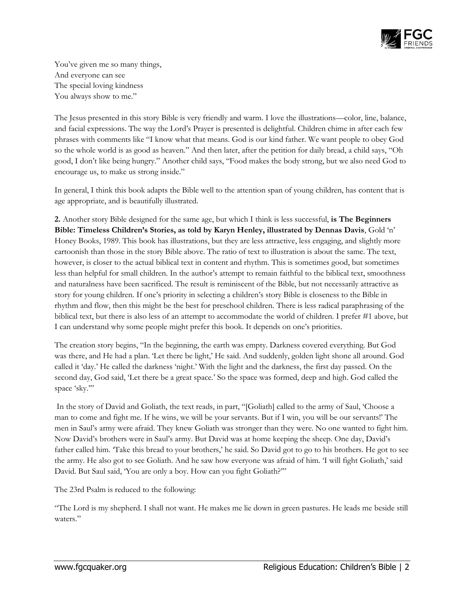

You've given me so many things, And everyone can see The special loving kindness You always show to me."

The Jesus presented in this story Bible is very friendly and warm. I love the illustrations—color, line, balance, and facial expressions. The way the Lord's Prayer is presented is delightful. Children chime in after each few phrases with comments like "I know what that means. God is our kind father. We want people to obey God so the whole world is as good as heaven." And then later, after the petition for daily bread, a child says, "Oh good, I don't like being hungry." Another child says, "Food makes the body strong, but we also need God to encourage us, to make us strong inside."

In general, I think this book adapts the Bible well to the attention span of young children, has content that is age appropriate, and is beautifully illustrated.

**2.** Another story Bible designed for the same age, but which I think is less successful, **is The Beginners Bible: Timeless Children's Stories, as told by Karyn Henley, illustrated by Dennas Davis**, Gold 'n' Honey Books, 1989. This book has illustrations, but they are less attractive, less engaging, and slightly more cartoonish than those in the story Bible above. The ratio of text to illustration is about the same. The text, however, is closer to the actual biblical text in content and rhythm. This is sometimes good, but sometimes less than helpful for small children. In the author's attempt to remain faithful to the biblical text, smoothness and naturalness have been sacrificed. The result is reminiscent of the Bible, but not necessarily attractive as story for young children. If one's priority in selecting a children's story Bible is closeness to the Bible in rhythm and flow, then this might be the best for preschool children. There is less radical paraphrasing of the biblical text, but there is also less of an attempt to accommodate the world of children. I prefer #1 above, but I can understand why some people might prefer this book. It depends on one's priorities.

The creation story begins, "In the beginning, the earth was empty. Darkness covered everything. But God was there, and He had a plan. 'Let there be light,' He said. And suddenly, golden light shone all around. God called it 'day.' He called the darkness 'night.' With the light and the darkness, the first day passed. On the second day, God said, 'Let there be a great space.' So the space was formed, deep and high. God called the space 'sky.""

In the story of David and Goliath, the text reads, in part, "[Goliath] called to the army of Saul, 'Choose a man to come and fight me. If he wins, we will be your servants. But if I win, you will be our servants!' The men in Saul's army were afraid. They knew Goliath was stronger than they were. No one wanted to fight him. Now David's brothers were in Saul's army. But David was at home keeping the sheep. One day, David's father called him. 'Take this bread to your brothers,' he said. So David got to go to his brothers. He got to see the army. He also got to see Goliath. And he saw how everyone was afraid of him. 'I will fight Goliath,' said David. But Saul said, 'You are only a boy. How can you fight Goliath?'"

The 23rd Psalm is reduced to the following:

"The Lord is my shepherd. I shall not want. He makes me lie down in green pastures. He leads me beside still waters."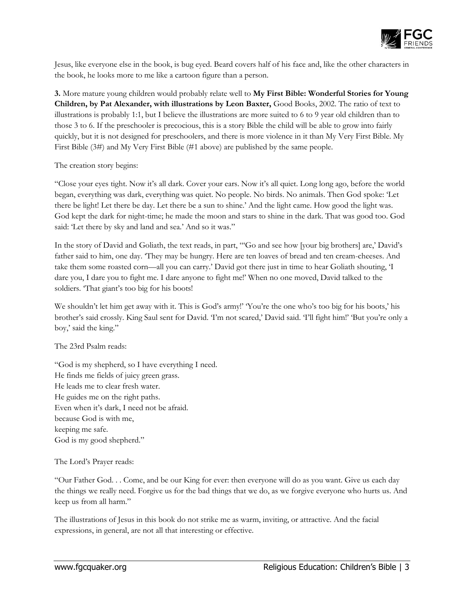

Jesus, like everyone else in the book, is bug eyed. Beard covers half of his face and, like the other characters in the book, he looks more to me like a cartoon figure than a person.

**3.** More mature young children would probably relate well to **My First Bible: Wonderful Stories for Young Children, by Pat Alexander, with illustrations by Leon Baxter,** Good Books, 2002. The ratio of text to illustrations is probably 1:1, but I believe the illustrations are more suited to 6 to 9 year old children than to those 3 to 6. If the preschooler is precocious, this is a story Bible the child will be able to grow into fairly quickly, but it is not designed for preschoolers, and there is more violence in it than My Very First Bible. My First Bible (3#) and My Very First Bible (#1 above) are published by the same people.

The creation story begins:

"Close your eyes tight. Now it's all dark. Cover your ears. Now it's all quiet. Long long ago, before the world began, everything was dark, everything was quiet. No people. No birds. No animals. Then God spoke: 'Let there be light! Let there be day. Let there be a sun to shine.' And the light came. How good the light was. God kept the dark for night-time; he made the moon and stars to shine in the dark. That was good too. God said: 'Let there by sky and land and sea.' And so it was."

In the story of David and Goliath, the text reads, in part, "'Go and see how [your big brothers] are,' David's father said to him, one day. 'They may be hungry. Here are ten loaves of bread and ten cream-cheeses. And take them some roasted corn—all you can carry.' David got there just in time to hear Goliath shouting, 'I dare you, I dare you to fight me. I dare anyone to fight me!' When no one moved, David talked to the soldiers. 'That giant's too big for his boots!

We shouldn't let him get away with it. This is God's army!' You're the one who's too big for his boots,' his brother's said crossly. King Saul sent for David. 'I'm not scared,' David said. 'I'll fight him!' 'But you're only a boy,' said the king."

The 23rd Psalm reads:

"God is my shepherd, so I have everything I need. He finds me fields of juicy green grass. He leads me to clear fresh water. He guides me on the right paths. Even when it's dark, I need not be afraid. because God is with me, keeping me safe. God is my good shepherd."

The Lord's Prayer reads:

"Our Father God. . . Come, and be our King for ever: then everyone will do as you want. Give us each day the things we really need. Forgive us for the bad things that we do, as we forgive everyone who hurts us. And keep us from all harm."

The illustrations of Jesus in this book do not strike me as warm, inviting, or attractive. And the facial expressions, in general, are not all that interesting or effective.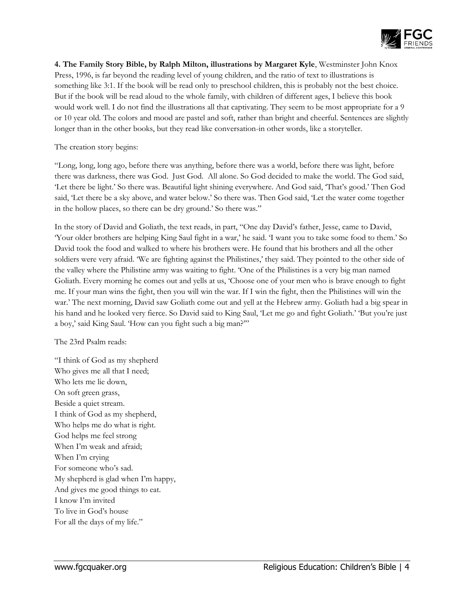

**4. The Family Story Bible, by Ralph Milton, illustrations by Margaret Kyle**, Westminster John Knox Press, 1996, is far beyond the reading level of young children, and the ratio of text to illustrations is something like 3:1. If the book will be read only to preschool children, this is probably not the best choice. But if the book will be read aloud to the whole family, with children of different ages, I believe this book would work well. I do not find the illustrations all that captivating. They seem to be most appropriate for a 9 or 10 year old. The colors and mood are pastel and soft, rather than bright and cheerful. Sentences are slightly longer than in the other books, but they read like conversation-in other words, like a storyteller.

The creation story begins:

"Long, long, long ago, before there was anything, before there was a world, before there was light, before there was darkness, there was God. Just God. All alone. So God decided to make the world. The God said, 'Let there be light.' So there was. Beautiful light shining everywhere. And God said, 'That's good.' Then God said, 'Let there be a sky above, and water below.' So there was. Then God said, 'Let the water come together in the hollow places, so there can be dry ground.' So there was."

In the story of David and Goliath, the text reads, in part, "One day David's father, Jesse, came to David, 'Your older brothers are helping King Saul fight in a war,' he said. 'I want you to take some food to them.' So David took the food and walked to where his brothers were. He found that his brothers and all the other soldiers were very afraid. 'We are fighting against the Philistines,' they said. They pointed to the other side of the valley where the Philistine army was waiting to fight. 'One of the Philistines is a very big man named Goliath. Every morning he comes out and yells at us, 'Choose one of your men who is brave enough to fight me. If your man wins the fight, then you will win the war. If I win the fight, then the Philistines will win the war.' The next morning, David saw Goliath come out and yell at the Hebrew army. Goliath had a big spear in his hand and he looked very fierce. So David said to King Saul, 'Let me go and fight Goliath.' 'But you're just a boy,' said King Saul. 'How can you fight such a big man?'"

The 23rd Psalm reads:

"I think of God as my shepherd Who gives me all that I need; Who lets me lie down, On soft green grass, Beside a quiet stream. I think of God as my shepherd, Who helps me do what is right. God helps me feel strong When I'm weak and afraid; When I'm crying For someone who's sad. My shepherd is glad when I'm happy, And gives me good things to eat. I know I'm invited To live in God's house For all the days of my life."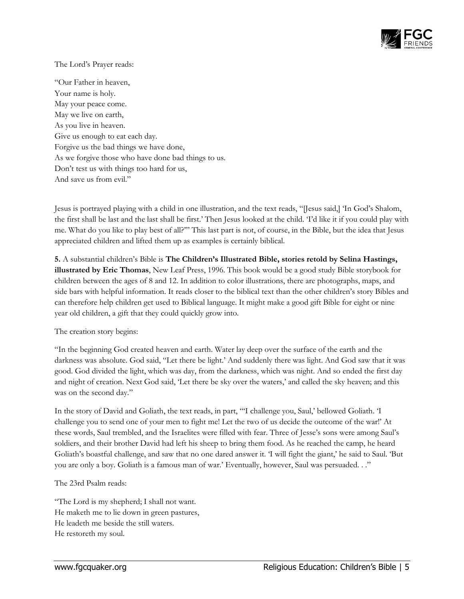

### The Lord's Prayer reads:

"Our Father in heaven, Your name is holy. May your peace come. May we live on earth, As you live in heaven. Give us enough to eat each day. Forgive us the bad things we have done, As we forgive those who have done bad things to us. Don't test us with things too hard for us, And save us from evil."

Jesus is portrayed playing with a child in one illustration, and the text reads, "[Jesus said,] 'In God's Shalom, the first shall be last and the last shall be first.' Then Jesus looked at the child. 'I'd like it if you could play with me. What do you like to play best of all?'" This last part is not, of course, in the Bible, but the idea that Jesus appreciated children and lifted them up as examples is certainly biblical.

**5.** A substantial children's Bible is **The Children's Illustrated Bible, stories retold by Selina Hastings, illustrated by Eric Thomas**, New Leaf Press, 1996. This book would be a good study Bible storybook for children between the ages of 8 and 12. In addition to color illustrations, there are photographs, maps, and side bars with helpful information. It reads closer to the biblical text than the other children's story Bibles and can therefore help children get used to Biblical language. It might make a good gift Bible for eight or nine year old children, a gift that they could quickly grow into.

#### The creation story begins:

"In the beginning God created heaven and earth. Water lay deep over the surface of the earth and the darkness was absolute. God said, "Let there be light.' And suddenly there was light. And God saw that it was good. God divided the light, which was day, from the darkness, which was night. And so ended the first day and night of creation. Next God said, 'Let there be sky over the waters,' and called the sky heaven; and this was on the second day."

In the story of David and Goliath, the text reads, in part, "'I challenge you, Saul,' bellowed Goliath. 'I challenge you to send one of your men to fight me! Let the two of us decide the outcome of the war!' At these words, Saul trembled, and the Israelites were filled with fear. Three of Jesse's sons were among Saul's soldiers, and their brother David had left his sheep to bring them food. As he reached the camp, he heard Goliath's boastful challenge, and saw that no one dared answer it. 'I will fight the giant,' he said to Saul. 'But you are only a boy. Goliath is a famous man of war.' Eventually, however, Saul was persuaded. . ."

# The 23rd Psalm reads:

"The Lord is my shepherd; I shall not want. He maketh me to lie down in green pastures, He leadeth me beside the still waters. He restoreth my soul.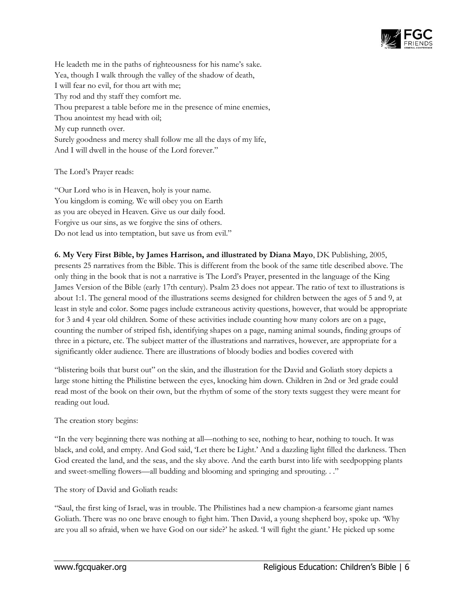

He leadeth me in the paths of righteousness for his name's sake. Yea, though I walk through the valley of the shadow of death, I will fear no evil, for thou art with me; Thy rod and thy staff they comfort me. Thou preparest a table before me in the presence of mine enemies, Thou anointest my head with oil; My cup runneth over. Surely goodness and mercy shall follow me all the days of my life, And I will dwell in the house of the Lord forever."

The Lord's Prayer reads:

"Our Lord who is in Heaven, holy is your name. You kingdom is coming. We will obey you on Earth as you are obeyed in Heaven. Give us our daily food. Forgive us our sins, as we forgive the sins of others. Do not lead us into temptation, but save us from evil."

**6. My Very First Bible, by James Harrison, and illustrated by Diana Mayo**, DK Publishing, 2005, presents 25 narratives from the Bible. This is different from the book of the same title described above. The only thing in the book that is not a narrative is The Lord's Prayer, presented in the language of the King James Version of the Bible (early 17th century). Psalm 23 does not appear. The ratio of text to illustrations is about 1:1. The general mood of the illustrations seems designed for children between the ages of 5 and 9, at least in style and color. Some pages include extraneous activity questions, however, that would be appropriate for 3 and 4 year old children. Some of these activities include counting how many colors are on a page, counting the number of striped fish, identifying shapes on a page, naming animal sounds, finding groups of three in a picture, etc. The subject matter of the illustrations and narratives, however, are appropriate for a significantly older audience. There are illustrations of bloody bodies and bodies covered with

"blistering boils that burst out" on the skin, and the illustration for the David and Goliath story depicts a large stone hitting the Philistine between the eyes, knocking him down. Children in 2nd or 3rd grade could read most of the book on their own, but the rhythm of some of the story texts suggest they were meant for reading out loud.

# The creation story begins:

"In the very beginning there was nothing at all—nothing to see, nothing to hear, nothing to touch. It was black, and cold, and empty. And God said, 'Let there be Light.' And a dazzling light filled the darkness. Then God created the land, and the seas, and the sky above. And the earth burst into life with seedpopping plants and sweet-smelling flowers—all budding and blooming and springing and sprouting. . ."

The story of David and Goliath reads:

"Saul, the first king of Israel, was in trouble. The Philistines had a new champion-a fearsome giant names Goliath. There was no one brave enough to fight him. Then David, a young shepherd boy, spoke up. 'Why are you all so afraid, when we have God on our side?' he asked. 'I will fight the giant.' He picked up some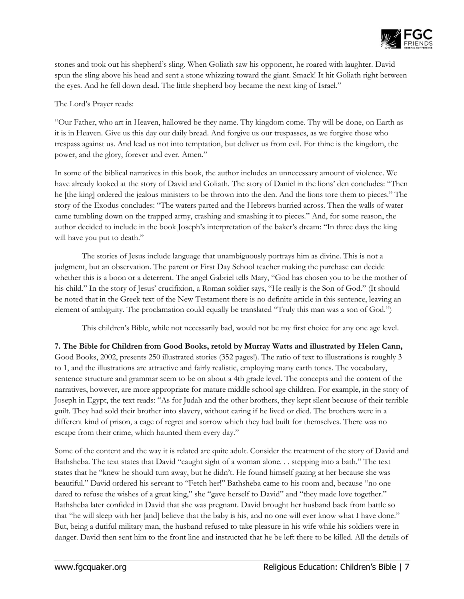

stones and took out his shepherd's sling. When Goliath saw his opponent, he roared with laughter. David spun the sling above his head and sent a stone whizzing toward the giant. Smack! It hit Goliath right between the eyes. And he fell down dead. The little shepherd boy became the next king of Israel."

## The Lord's Prayer reads:

"Our Father, who art in Heaven, hallowed be they name. Thy kingdom come. Thy will be done, on Earth as it is in Heaven. Give us this day our daily bread. And forgive us our trespasses, as we forgive those who trespass against us. And lead us not into temptation, but deliver us from evil. For thine is the kingdom, the power, and the glory, forever and ever. Amen."

In some of the biblical narratives in this book, the author includes an unnecessary amount of violence. We have already looked at the story of David and Goliath. The story of Daniel in the lions' den concludes: "Then he [the king] ordered the jealous ministers to be thrown into the den. And the lions tore them to pieces." The story of the Exodus concludes: "The waters parted and the Hebrews hurried across. Then the walls of water came tumbling down on the trapped army, crashing and smashing it to pieces." And, for some reason, the author decided to include in the book Joseph's interpretation of the baker's dream: "In three days the king will have you put to death."

The stories of Jesus include language that unambiguously portrays him as divine. This is not a judgment, but an observation. The parent or First Day School teacher making the purchase can decide whether this is a boon or a deterrent. The angel Gabriel tells Mary, "God has chosen you to be the mother of his child." In the story of Jesus' crucifixion, a Roman soldier says, "He really is the Son of God." (It should be noted that in the Greek text of the New Testament there is no definite article in this sentence, leaving an element of ambiguity. The proclamation could equally be translated "Truly this man was a son of God.")

This children's Bible, while not necessarily bad, would not be my first choice for any one age level.

**7. The Bible for Children from Good Books, retold by Murray Watts and illustrated by Helen Cann,** Good Books, 2002, presents 250 illustrated stories (352 pages!). The ratio of text to illustrations is roughly 3 to 1, and the illustrations are attractive and fairly realistic, employing many earth tones. The vocabulary, sentence structure and grammar seem to be on about a 4th grade level. The concepts and the content of the narratives, however, are more appropriate for mature middle school age children. For example, in the story of Joseph in Egypt, the text reads: "As for Judah and the other brothers, they kept silent because of their terrible guilt. They had sold their brother into slavery, without caring if he lived or died. The brothers were in a different kind of prison, a cage of regret and sorrow which they had built for themselves. There was no escape from their crime, which haunted them every day."

Some of the content and the way it is related are quite adult. Consider the treatment of the story of David and Bathsheba. The text states that David "caught sight of a woman alone. . . stepping into a bath." The text states that he "knew he should turn away, but he didn't. He found himself gazing at her because she was beautiful." David ordered his servant to "Fetch her!" Bathsheba came to his room and, because "no one dared to refuse the wishes of a great king," she "gave herself to David" and "they made love together." Bathsheba later confided in David that she was pregnant. David brought her husband back from battle so that "he will sleep with her [and] believe that the baby is his, and no one will ever know what I have done." But, being a dutiful military man, the husband refused to take pleasure in his wife while his soldiers were in danger. David then sent him to the front line and instructed that he be left there to be killed. All the details of